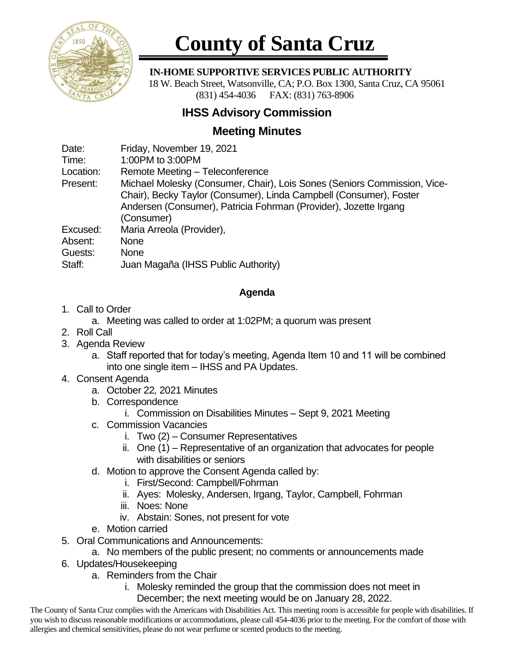

# **County of Santa Cruz**

### **IN-HOME SUPPORTIVE SERVICES PUBLIC AUTHORITY**

 18 W. Beach Street, Watsonville, CA; P.O. Box 1300, Santa Cruz, CA 95061 (831) 454-4036 FAX: (831) 763-8906

## **IHSS Advisory Commission**

## **Meeting Minutes**

Date: Friday, November 19, 2021

Time: 1:00PM to 3:00PM

Location: Remote Meeting – Teleconference

Present: Michael Molesky (Consumer, Chair), Lois Sones (Seniors Commission, Vice-Chair), Becky Taylor (Consumer), Linda Campbell (Consumer), Foster Andersen (Consumer), Patricia Fohrman (Provider), Jozette Irgang (Consumer)

Excused: Maria Arreola (Provider),

Absent: None

Guests: None

Staff: Juan Magaña (IHSS Public Authority)

### **Agenda**

1. Call to Order

a. Meeting was called to order at 1:02PM; a quorum was present

- 2. Roll Call
- 3. Agenda Review
	- a. Staff reported that for today's meeting, Agenda Item 10 and 11 will be combined into one single item – IHSS and PA Updates.
- 4. Consent Agenda
	- a. October 22*,* 2021 Minutes
	- b. Correspondence
		- i. Commission on Disabilities Minutes Sept 9, 2021 Meeting
	- c. Commission Vacancies
		- i. Two (2) Consumer Representatives
		- ii. One (1) Representative of an organization that advocates for people with disabilities or seniors
	- d. Motion to approve the Consent Agenda called by:
		- i. First/Second: Campbell/Fohrman
		- ii. Ayes: Molesky, Andersen, Irgang, Taylor, Campbell, Fohrman
		- iii. Noes: None
		- iv. Abstain: Sones, not present for vote
	- e. Motion carried
- 5. Oral Communications and Announcements:
	- a. No members of the public present; no comments or announcements made
- 6. Updates/Housekeeping
	- a. Reminders from the Chair
		- i. Molesky reminded the group that the commission does not meet in December; the next meeting would be on January 28, 2022.

The County of Santa Cruz complies with the Americans with Disabilities Act. This meeting room is accessible for people with disabilities. If you wish to discuss reasonable modifications or accommodations, please call 454-4036 prior to the meeting. For the comfort of those with allergies and chemical sensitivities, please do not wear perfume or scented products to the meeting.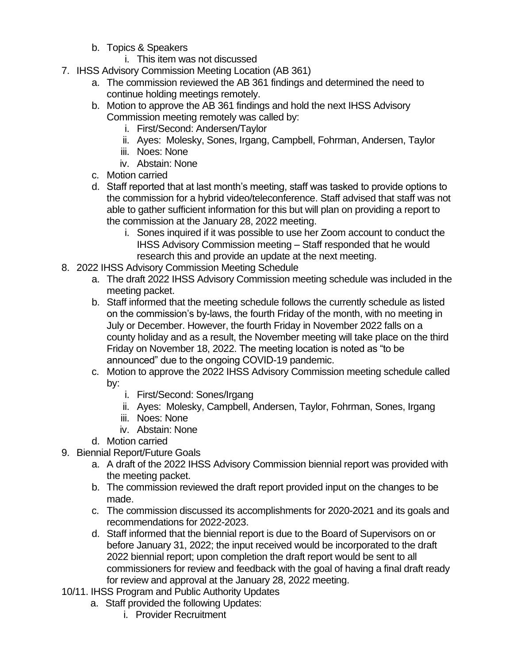- b. Topics & Speakers
	- i. This item was not discussed
- 7. IHSS Advisory Commission Meeting Location (AB 361)
	- a. The commission reviewed the AB 361 findings and determined the need to continue holding meetings remotely.
	- b. Motion to approve the AB 361 findings and hold the next IHSS Advisory Commission meeting remotely was called by:
		- i. First/Second: Andersen/Taylor
		- ii. Ayes: Molesky, Sones, Irgang, Campbell, Fohrman, Andersen, Taylor
		- iii. Noes: None
		- iv. Abstain: None
	- c. Motion carried
	- d. Staff reported that at last month's meeting, staff was tasked to provide options to the commission for a hybrid video/teleconference. Staff advised that staff was not able to gather sufficient information for this but will plan on providing a report to the commission at the January 28, 2022 meeting.
		- i. Sones inquired if it was possible to use her Zoom account to conduct the IHSS Advisory Commission meeting – Staff responded that he would research this and provide an update at the next meeting.
- 8. 2022 IHSS Advisory Commission Meeting Schedule
	- a. The draft 2022 IHSS Advisory Commission meeting schedule was included in the meeting packet.
	- b. Staff informed that the meeting schedule follows the currently schedule as listed on the commission's by-laws, the fourth Friday of the month, with no meeting in July or December. However, the fourth Friday in November 2022 falls on a county holiday and as a result, the November meeting will take place on the third Friday on November 18, 2022. The meeting location is noted as "to be announced" due to the ongoing COVID-19 pandemic.
	- c. Motion to approve the 2022 IHSS Advisory Commission meeting schedule called by:
		- i. First/Second: Sones/Irgang
		- ii. Ayes: Molesky, Campbell, Andersen, Taylor, Fohrman, Sones, Irgang
		- iii. Noes: None
		- iv. Abstain: None
	- d. Motion carried
- 9. Biennial Report/Future Goals
	- a. A draft of the 2022 IHSS Advisory Commission biennial report was provided with the meeting packet.
	- b. The commission reviewed the draft report provided input on the changes to be made.
	- c. The commission discussed its accomplishments for 2020-2021 and its goals and recommendations for 2022-2023.
	- d. Staff informed that the biennial report is due to the Board of Supervisors on or before January 31, 2022; the input received would be incorporated to the draft 2022 biennial report; upon completion the draft report would be sent to all commissioners for review and feedback with the goal of having a final draft ready for review and approval at the January 28, 2022 meeting.
- 10/11. IHSS Program and Public Authority Updates
	- a. Staff provided the following Updates:
		- i. Provider Recruitment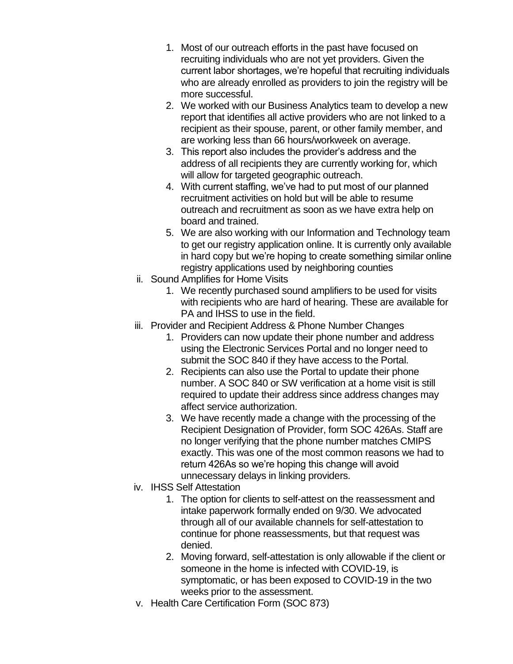- 1. Most of our outreach efforts in the past have focused on recruiting individuals who are not yet providers. Given the current labor shortages, we're hopeful that recruiting individuals who are already enrolled as providers to join the registry will be more successful.
- 2. We worked with our Business Analytics team to develop a new report that identifies all active providers who are not linked to a recipient as their spouse, parent, or other family member, and are working less than 66 hours/workweek on average.
- 3. This report also includes the provider's address and the address of all recipients they are currently working for, which will allow for targeted geographic outreach.
- 4. With current staffing, we've had to put most of our planned recruitment activities on hold but will be able to resume outreach and recruitment as soon as we have extra help on board and trained.
- 5. We are also working with our Information and Technology team to get our registry application online. It is currently only available in hard copy but we're hoping to create something similar online registry applications used by neighboring counties
- ii. Sound Amplifies for Home Visits
	- 1. We recently purchased sound amplifiers to be used for visits with recipients who are hard of hearing. These are available for PA and IHSS to use in the field.
- iii. Provider and Recipient Address & Phone Number Changes
	- 1. Providers can now update their phone number and address using the Electronic Services Portal and no longer need to submit the SOC 840 if they have access to the Portal.
	- 2. Recipients can also use the Portal to update their phone number. A SOC 840 or SW verification at a home visit is still required to update their address since address changes may affect service authorization.
	- 3. We have recently made a change with the processing of the Recipient Designation of Provider, form SOC 426As. Staff are no longer verifying that the phone number matches CMIPS exactly. This was one of the most common reasons we had to return 426As so we're hoping this change will avoid unnecessary delays in linking providers.
- iv. IHSS Self Attestation
	- 1. The option for clients to self-attest on the reassessment and intake paperwork formally ended on 9/30. We advocated through all of our available channels for self-attestation to continue for phone reassessments, but that request was denied.
	- 2. Moving forward, self-attestation is only allowable if the client or someone in the home is infected with COVID-19, is symptomatic, or has been exposed to COVID-19 in the two weeks prior to the assessment.
- v. Health Care Certification Form (SOC 873)